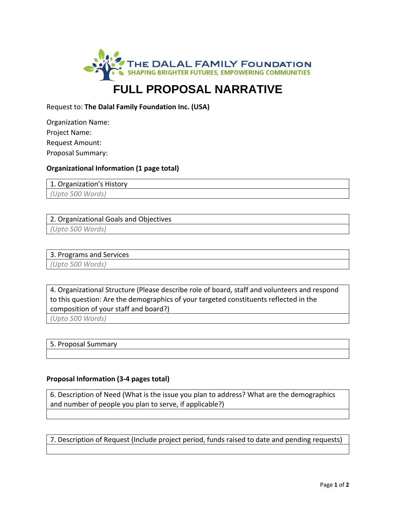

# **FULL PROPOSAL NARRATIVE**

## Request to: **The Dalal Family Foundation Inc. (USA)**

| Organization Name: |  |
|--------------------|--|
| Project Name:      |  |
| Request Amount:    |  |
| Proposal Summary:  |  |

### **Organizational Information (1 page total)**

1. Organization's History

*(Upto 500 Words)*

#### 2. Organizational Goals and Objectives

*(Upto 500 Words)*

#### 3. Programs and Services

*(Upto 500 Words)*

4. Organizational Structure (Please describe role of board, staff and volunteers and respond to this question: Are the demographics of your targeted constituents reflected in the composition of your staff and board?)

*(Upto 500 Words)*

5. Proposal Summary

### **Proposal Information (3‐4 pages total)**

6. Description of Need (What is the issue you plan to address? What are the demographics and number of people you plan to serve, if applicable?)

7. Description of Request (Include project period, funds raised to date and pending requests)